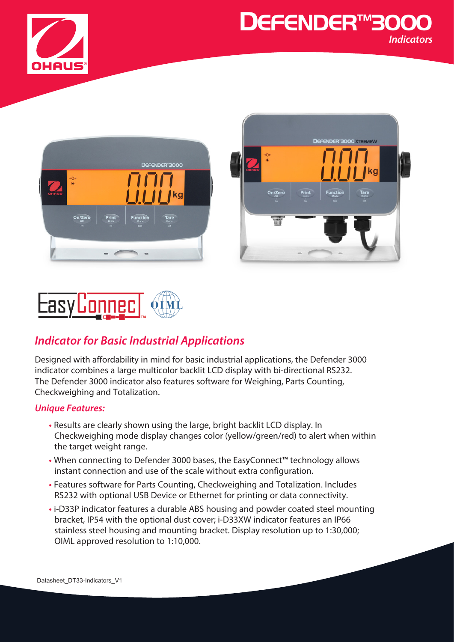









## *Indicator for Basic Industrial Applications*

Designed with affordability in mind for basic industrial applications, the Defender 3000 indicator combines a large multicolor backlit LCD display with bi-directional RS232. The Defender 3000 indicator also features software for Weighing, Parts Counting, Checkweighing and Totalization.

### *Unique Features:*

- **•** Results are clearly shown using the large, bright backlit LCD display. In Checkweighing mode display changes color (yellow/green/red) to alert when within the target weight range.
- **•** When connecting to Defender 3000 bases, the EasyConnect™ technology allows instant connection and use of the scale without extra configuration.
- **•** Features software for Parts Counting, Checkweighing and Totalization. Includes RS232 with optional USB Device or Ethernet for printing or data connectivity.
- **•** i-D33P indicator features a durable ABS housing and powder coated steel mounting bracket, IP54 with the optional dust cover; i-D33XW indicator features an IP66 stainless steel housing and mounting bracket. Display resolution up to 1:30,000; OIML approved resolution to 1:10,000.